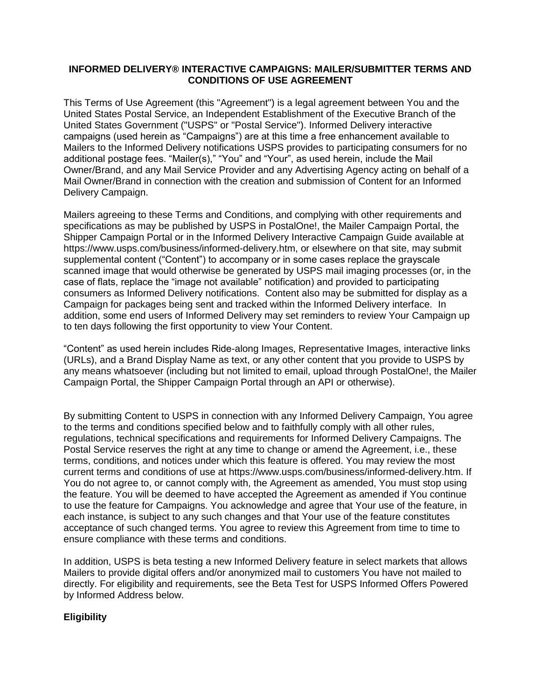#### **INFORMED DELIVERY® INTERACTIVE CAMPAIGNS: MAILER/SUBMITTER TERMS AND CONDITIONS OF USE AGREEMENT**

This Terms of Use Agreement (this "Agreement") is a legal agreement between You and the United States Postal Service, an Independent Establishment of the Executive Branch of the United States Government ("USPS" or "Postal Service"). Informed Delivery interactive campaigns (used herein as "Campaigns") are at this time a free enhancement available to Mailers to the Informed Delivery notifications USPS provides to participating consumers for no additional postage fees. "Mailer(s)," "You" and "Your", as used herein, include the Mail Owner/Brand, and any Mail Service Provider and any Advertising Agency acting on behalf of a Mail Owner/Brand in connection with the creation and submission of Content for an Informed Delivery Campaign.

Mailers agreeing to these Terms and Conditions, and complying with other requirements and specifications as may be published by USPS in PostalOne!, the Mailer Campaign Portal, the Shipper Campaign Portal or in the Informed Delivery Interactive Campaign Guide available at https://www.usps.com/business/informed-delivery.htm, or elsewhere on that site, may submit supplemental content ("Content") to accompany or in some cases replace the grayscale scanned image that would otherwise be generated by USPS mail imaging processes (or, in the case of flats, replace the "image not available" notification) and provided to participating consumers as Informed Delivery notifications. Content also may be submitted for display as a Campaign for packages being sent and tracked within the Informed Delivery interface. In addition, some end users of Informed Delivery may set reminders to review Your Campaign up to ten days following the first opportunity to view Your Content.

"Content" as used herein includes Ride-along Images, Representative Images, interactive links (URLs), and a Brand Display Name as text, or any other content that you provide to USPS by any means whatsoever (including but not limited to email, upload through PostalOne!, the Mailer Campaign Portal, the Shipper Campaign Portal through an API or otherwise).

By submitting Content to USPS in connection with any Informed Delivery Campaign, You agree to the terms and conditions specified below and to faithfully comply with all other rules, regulations, technical specifications and requirements for Informed Delivery Campaigns. The Postal Service reserves the right at any time to change or amend the Agreement, i.e., these terms, conditions, and notices under which this feature is offered. You may review the most current terms and conditions of use at https://www.usps.com/business/informed-delivery.htm. If You do not agree to, or cannot comply with, the Agreement as amended, You must stop using the feature. You will be deemed to have accepted the Agreement as amended if You continue to use the feature for Campaigns. You acknowledge and agree that Your use of the feature, in each instance, is subject to any such changes and that Your use of the feature constitutes acceptance of such changed terms. You agree to review this Agreement from time to time to ensure compliance with these terms and conditions.

In addition, USPS is beta testing a new Informed Delivery feature in select markets that allows Mailers to provide digital offers and/or anonymized mail to customers You have not mailed to directly. For eligibility and requirements, see the Beta Test for USPS Informed Offers Powered by Informed Address below.

# **Eligibility**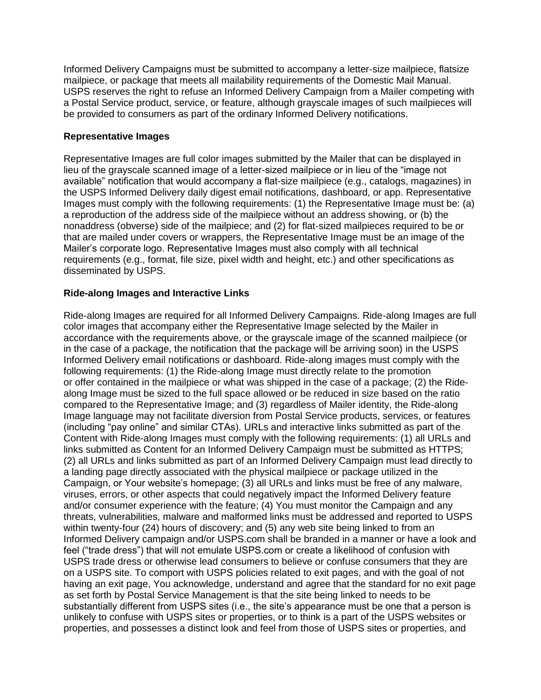Informed Delivery Campaigns must be submitted to accompany a letter-size mailpiece, flatsize mailpiece, or package that meets all mailability requirements of the Domestic Mail Manual. USPS reserves the right to refuse an Informed Delivery Campaign from a Mailer competing with a Postal Service product, service, or feature, although grayscale images of such mailpieces will be provided to consumers as part of the ordinary Informed Delivery notifications.

#### **Representative Images**

Representative Images are full color images submitted by the Mailer that can be displayed in lieu of the grayscale scanned image of a letter-sized mailpiece or in lieu of the "image not available" notification that would accompany a flat-size mailpiece (e.g., catalogs, magazines) in the USPS Informed Delivery daily digest email notifications, dashboard, or app. Representative Images must comply with the following requirements: (1) the Representative Image must be: (a) a reproduction of the address side of the mailpiece without an address showing, or (b) the nonaddress (obverse) side of the mailpiece; and (2) for flat-sized mailpieces required to be or that are mailed under covers or wrappers, the Representative Image must be an image of the Mailer's corporate logo. Representative Images must also comply with all technical requirements (e.g., format, file size, pixel width and height, etc.) and other specifications as disseminated by USPS.

# **Ride-along Images and Interactive Links**

Ride-along Images are required for all Informed Delivery Campaigns. Ride-along Images are full color images that accompany either the Representative Image selected by the Mailer in accordance with the requirements above, or the grayscale image of the scanned mailpiece (or in the case of a package, the notification that the package will be arriving soon) in the USPS Informed Delivery email notifications or dashboard. Ride-along images must comply with the following requirements: (1) the Ride-along Image must directly relate to the promotion or offer contained in the mailpiece or what was shipped in the case of a package; (2) the Ridealong Image must be sized to the full space allowed or be reduced in size based on the ratio compared to the Representative Image; and (3) regardless of Mailer identity, the Ride-along Image language may not facilitate diversion from Postal Service products, services, or features (including "pay online" and similar CTAs). URLs and interactive links submitted as part of the Content with Ride-along Images must comply with the following requirements: (1) all URLs and links submitted as Content for an Informed Delivery Campaign must be submitted as HTTPS; (2) all URLs and links submitted as part of an Informed Delivery Campaign must lead directly to a landing page directly associated with the physical mailpiece or package utilized in the Campaign, or Your website's homepage; (3) all URLs and links must be free of any malware, viruses, errors, or other aspects that could negatively impact the Informed Delivery feature and/or consumer experience with the feature; (4) You must monitor the Campaign and any threats, vulnerabilities, malware and malformed links must be addressed and reported to USPS within twenty-four (24) hours of discovery; and (5) any web site being linked to from an Informed Delivery campaign and/or USPS.com shall be branded in a manner or have a look and feel ("trade dress") that will not emulate USPS.com or create a likelihood of confusion with USPS trade dress or otherwise lead consumers to believe or confuse consumers that they are on a USPS site. To comport with USPS policies related to exit pages, and with the goal of not having an exit page, You acknowledge, understand and agree that the standard for no exit page as set forth by Postal Service Management is that the site being linked to needs to be substantially different from USPS sites (i.e., the site's appearance must be one that a person is unlikely to confuse with USPS sites or properties, or to think is a part of the USPS websites or properties, and possesses a distinct look and feel from those of USPS sites or properties, and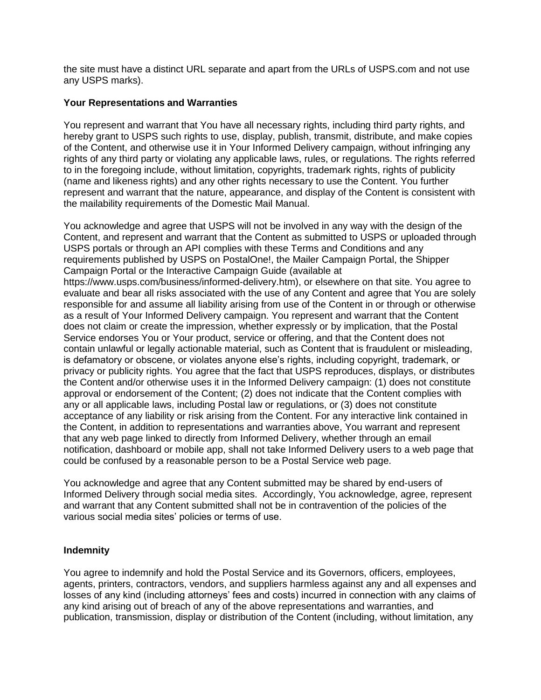the site must have a distinct URL separate and apart from the URLs of USPS.com and not use any USPS marks).

#### **Your Representations and Warranties**

You represent and warrant that You have all necessary rights, including third party rights, and hereby grant to USPS such rights to use, display, publish, transmit, distribute, and make copies of the Content, and otherwise use it in Your Informed Delivery campaign, without infringing any rights of any third party or violating any applicable laws, rules, or regulations. The rights referred to in the foregoing include, without limitation, copyrights, trademark rights, rights of publicity (name and likeness rights) and any other rights necessary to use the Content. You further represent and warrant that the nature, appearance, and display of the Content is consistent with the mailability requirements of the Domestic Mail Manual.

You acknowledge and agree that USPS will not be involved in any way with the design of the Content, and represent and warrant that the Content as submitted to USPS or uploaded through USPS portals or through an API complies with these Terms and Conditions and any requirements published by USPS on PostalOne!, the Mailer Campaign Portal, the Shipper Campaign Portal or the Interactive Campaign Guide (available at https://www.usps.com/business/informed-delivery.htm), or elsewhere on that site. You agree to evaluate and bear all risks associated with the use of any Content and agree that You are solely responsible for and assume all liability arising from use of the Content in or through or otherwise as a result of Your Informed Delivery campaign. You represent and warrant that the Content does not claim or create the impression, whether expressly or by implication, that the Postal Service endorses You or Your product, service or offering, and that the Content does not contain unlawful or legally actionable material, such as Content that is fraudulent or misleading, is defamatory or obscene, or violates anyone else's rights, including copyright, trademark, or privacy or publicity rights. You agree that the fact that USPS reproduces, displays, or distributes the Content and/or otherwise uses it in the Informed Delivery campaign: (1) does not constitute approval or endorsement of the Content; (2) does not indicate that the Content complies with any or all applicable laws, including Postal law or regulations, or (3) does not constitute acceptance of any liability or risk arising from the Content. For any interactive link contained in the Content, in addition to representations and warranties above, You warrant and represent that any web page linked to directly from Informed Delivery, whether through an email notification, dashboard or mobile app, shall not take Informed Delivery users to a web page that could be confused by a reasonable person to be a Postal Service web page.

You acknowledge and agree that any Content submitted may be shared by end-users of Informed Delivery through social media sites. Accordingly, You acknowledge, agree, represent and warrant that any Content submitted shall not be in contravention of the policies of the various social media sites' policies or terms of use.

# **Indemnity**

You agree to indemnify and hold the Postal Service and its Governors, officers, employees, agents, printers, contractors, vendors, and suppliers harmless against any and all expenses and losses of any kind (including attorneys' fees and costs) incurred in connection with any claims of any kind arising out of breach of any of the above representations and warranties, and publication, transmission, display or distribution of the Content (including, without limitation, any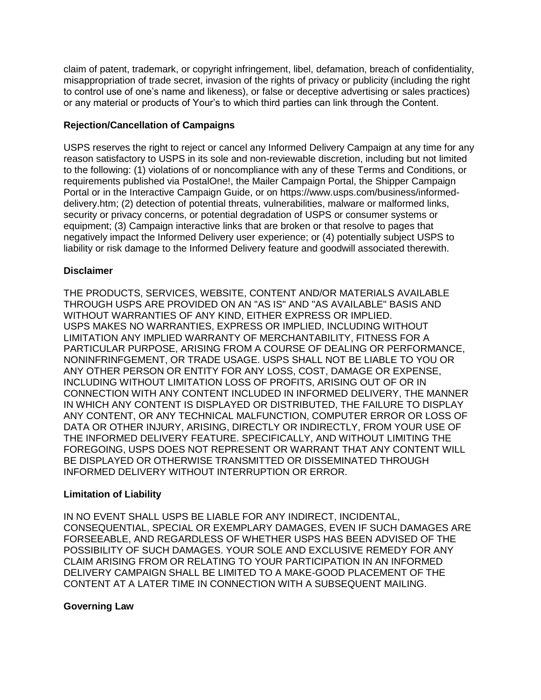claim of patent, trademark, or copyright infringement, libel, defamation, breach of confidentiality, misappropriation of trade secret, invasion of the rights of privacy or publicity (including the right to control use of one's name and likeness), or false or deceptive advertising or sales practices) or any material or products of Your's to which third parties can link through the Content.

# **Rejection/Cancellation of Campaigns**

USPS reserves the right to reject or cancel any Informed Delivery Campaign at any time for any reason satisfactory to USPS in its sole and non-reviewable discretion, including but not limited to the following: (1) violations of or noncompliance with any of these Terms and Conditions, or requirements published via PostalOne!, the Mailer Campaign Portal, the Shipper Campaign Portal or in the Interactive Campaign Guide, or on https://www.usps.com/business/informeddelivery.htm; (2) detection of potential threats, vulnerabilities, malware or malformed links, security or privacy concerns, or potential degradation of USPS or consumer systems or equipment; (3) Campaign interactive links that are broken or that resolve to pages that negatively impact the Informed Delivery user experience; or (4) potentially subject USPS to liability or risk damage to the Informed Delivery feature and goodwill associated therewith.

# **Disclaimer**

THE PRODUCTS, SERVICES, WEBSITE, CONTENT AND/OR MATERIALS AVAILABLE THROUGH USPS ARE PROVIDED ON AN "AS IS" AND "AS AVAILABLE" BASIS AND WITHOUT WARRANTIES OF ANY KIND, EITHER EXPRESS OR IMPLIED. USPS MAKES NO WARRANTIES, EXPRESS OR IMPLIED, INCLUDING WITHOUT LIMITATION ANY IMPLIED WARRANTY OF MERCHANTABILITY, FITNESS FOR A PARTICULAR PURPOSE, ARISING FROM A COURSE OF DEALING OR PERFORMANCE, NONINFRINFGEMENT, OR TRADE USAGE. USPS SHALL NOT BE LIABLE TO YOU OR ANY OTHER PERSON OR ENTITY FOR ANY LOSS, COST, DAMAGE OR EXPENSE, INCLUDING WITHOUT LIMITATION LOSS OF PROFITS, ARISING OUT OF OR IN CONNECTION WITH ANY CONTENT INCLUDED IN INFORMED DELIVERY, THE MANNER IN WHICH ANY CONTENT IS DISPLAYED OR DISTRIBUTED, THE FAILURE TO DISPLAY ANY CONTENT, OR ANY TECHNICAL MALFUNCTION, COMPUTER ERROR OR LOSS OF DATA OR OTHER INJURY, ARISING, DIRECTLY OR INDIRECTLY, FROM YOUR USE OF THE INFORMED DELIVERY FEATURE. SPECIFICALLY, AND WITHOUT LIMITING THE FOREGOING, USPS DOES NOT REPRESENT OR WARRANT THAT ANY CONTENT WILL BE DISPLAYED OR OTHERWISE TRANSMITTED OR DISSEMINATED THROUGH INFORMED DELIVERY WITHOUT INTERRUPTION OR ERROR.

# **Limitation of Liability**

IN NO EVENT SHALL USPS BE LIABLE FOR ANY INDIRECT, INCIDENTAL, CONSEQUENTIAL, SPECIAL OR EXEMPLARY DAMAGES, EVEN IF SUCH DAMAGES ARE FORSEEABLE, AND REGARDLESS OF WHETHER USPS HAS BEEN ADVISED OF THE POSSIBILITY OF SUCH DAMAGES. YOUR SOLE AND EXCLUSIVE REMEDY FOR ANY CLAIM ARISING FROM OR RELATING TO YOUR PARTICIPATION IN AN INFORMED DELIVERY CAMPAIGN SHALL BE LIMITED TO A MAKE-GOOD PLACEMENT OF THE CONTENT AT A LATER TIME IN CONNECTION WITH A SUBSEQUENT MAILING.

# **Governing Law**